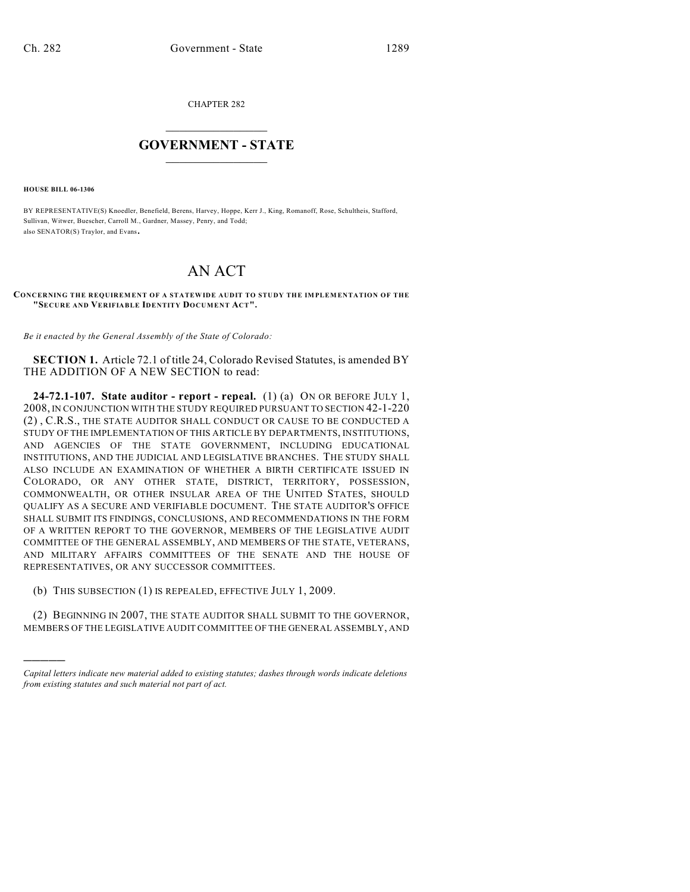CHAPTER 282

## $\mathcal{L}_\text{max}$  . The set of the set of the set of the set of the set of the set of the set of the set of the set of the set of the set of the set of the set of the set of the set of the set of the set of the set of the set **GOVERNMENT - STATE**  $\_$   $\_$

**HOUSE BILL 06-1306**

)))))

BY REPRESENTATIVE(S) Knoedler, Benefield, Berens, Harvey, Hoppe, Kerr J., King, Romanoff, Rose, Schultheis, Stafford, Sullivan, Witwer, Buescher, Carroll M., Gardner, Massey, Penry, and Todd; also SENATOR(S) Traylor, and Evans.

## AN ACT

## **CONCERNING THE REQUIREMENT OF A STATEWIDE AUDIT TO STUDY THE IMPLEMENTATION OF THE "SECURE AND VERIFIABLE IDENTITY DOCUMENT ACT".**

*Be it enacted by the General Assembly of the State of Colorado:*

**SECTION 1.** Article 72.1 of title 24, Colorado Revised Statutes, is amended BY THE ADDITION OF A NEW SECTION to read:

**24-72.1-107. State auditor - report - repeal.** (1) (a) ON OR BEFORE JULY 1, 2008, IN CONJUNCTION WITH THE STUDY REQUIRED PURSUANT TO SECTION 42-1-220 (2) , C.R.S., THE STATE AUDITOR SHALL CONDUCT OR CAUSE TO BE CONDUCTED A STUDY OF THE IMPLEMENTATION OF THIS ARTICLE BY DEPARTMENTS, INSTITUTIONS, AND AGENCIES OF THE STATE GOVERNMENT, INCLUDING EDUCATIONAL INSTITUTIONS, AND THE JUDICIAL AND LEGISLATIVE BRANCHES. THE STUDY SHALL ALSO INCLUDE AN EXAMINATION OF WHETHER A BIRTH CERTIFICATE ISSUED IN COLORADO, OR ANY OTHER STATE, DISTRICT, TERRITORY, POSSESSION, COMMONWEALTH, OR OTHER INSULAR AREA OF THE UNITED STATES, SHOULD QUALIFY AS A SECURE AND VERIFIABLE DOCUMENT. THE STATE AUDITOR'S OFFICE SHALL SUBMIT ITS FINDINGS, CONCLUSIONS, AND RECOMMENDATIONS IN THE FORM OF A WRITTEN REPORT TO THE GOVERNOR, MEMBERS OF THE LEGISLATIVE AUDIT COMMITTEE OF THE GENERAL ASSEMBLY, AND MEMBERS OF THE STATE, VETERANS, AND MILITARY AFFAIRS COMMITTEES OF THE SENATE AND THE HOUSE OF REPRESENTATIVES, OR ANY SUCCESSOR COMMITTEES.

(b) THIS SUBSECTION (1) IS REPEALED, EFFECTIVE JULY 1, 2009.

(2) BEGINNING IN 2007, THE STATE AUDITOR SHALL SUBMIT TO THE GOVERNOR, MEMBERS OF THE LEGISLATIVE AUDIT COMMITTEE OF THE GENERAL ASSEMBLY, AND

*Capital letters indicate new material added to existing statutes; dashes through words indicate deletions from existing statutes and such material not part of act.*